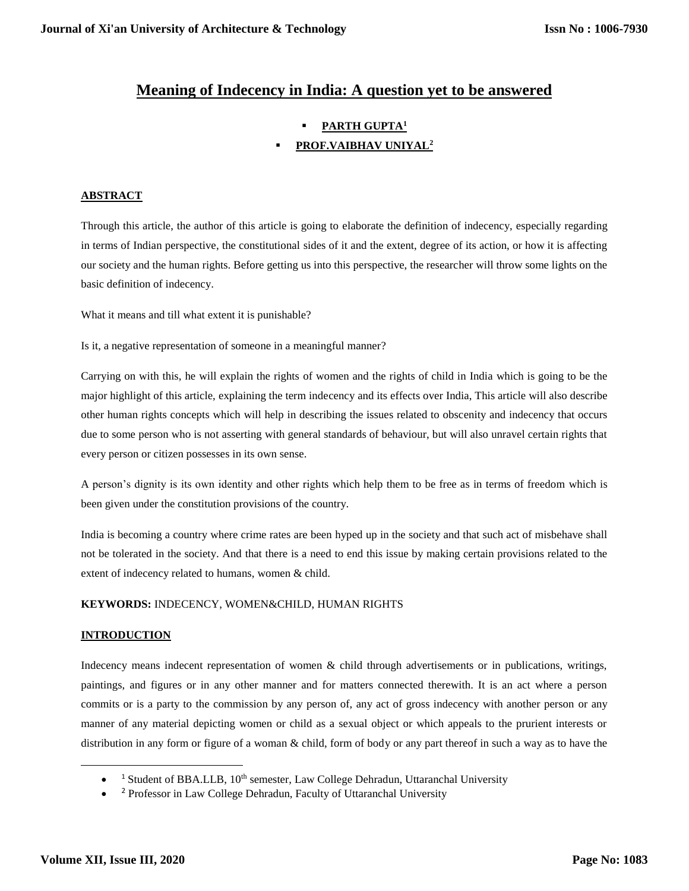# **Meaning of Indecency in India: A question yet to be answered**

# **PARTH GUPTA<sup>1</sup> PROF.VAIBHAV UNIYAL<sup>2</sup>**

## **ABSTRACT**

Through this article, the author of this article is going to elaborate the definition of indecency, especially regarding in terms of Indian perspective, the constitutional sides of it and the extent, degree of its action, or how it is affecting our society and the human rights. Before getting us into this perspective, the researcher will throw some lights on the basic definition of indecency.

What it means and till what extent it is punishable?

Is it, a negative representation of someone in a meaningful manner?

Carrying on with this, he will explain the rights of women and the rights of child in India which is going to be the major highlight of this article, explaining the term indecency and its effects over India, This article will also describe other human rights concepts which will help in describing the issues related to obscenity and indecency that occurs due to some person who is not asserting with general standards of behaviour, but will also unravel certain rights that every person or citizen possesses in its own sense.

A person's dignity is its own identity and other rights which help them to be free as in terms of freedom which is been given under the constitution provisions of the country.

India is becoming a country where crime rates are been hyped up in the society and that such act of misbehave shall not be tolerated in the society. And that there is a need to end this issue by making certain provisions related to the extent of indecency related to humans, women & child.

### **KEYWORDS:** INDECENCY, WOMEN&CHILD, HUMAN RIGHTS

### **INTRODUCTION**

Indecency means indecent representation of women & child through advertisements or in publications, writings, paintings, and figures or in any other manner and for matters connected therewith. It is an act where a person commits or is a party to the commission by any person of, any act of gross indecency with another person or any manner of any material depicting women or child as a sexual object or which appeals to the prurient interests or distribution in any form or figure of a woman & child, form of body or any part thereof in such a way as to have the

 $\overline{a}$ 

 $\bullet$ <sup>1</sup> Student of BBA.LLB, 10<sup>th</sup> semester, Law College Dehradun, Uttaranchal University

 $\bullet$ <sup>2</sup> Professor in Law College Dehradun, Faculty of Uttaranchal University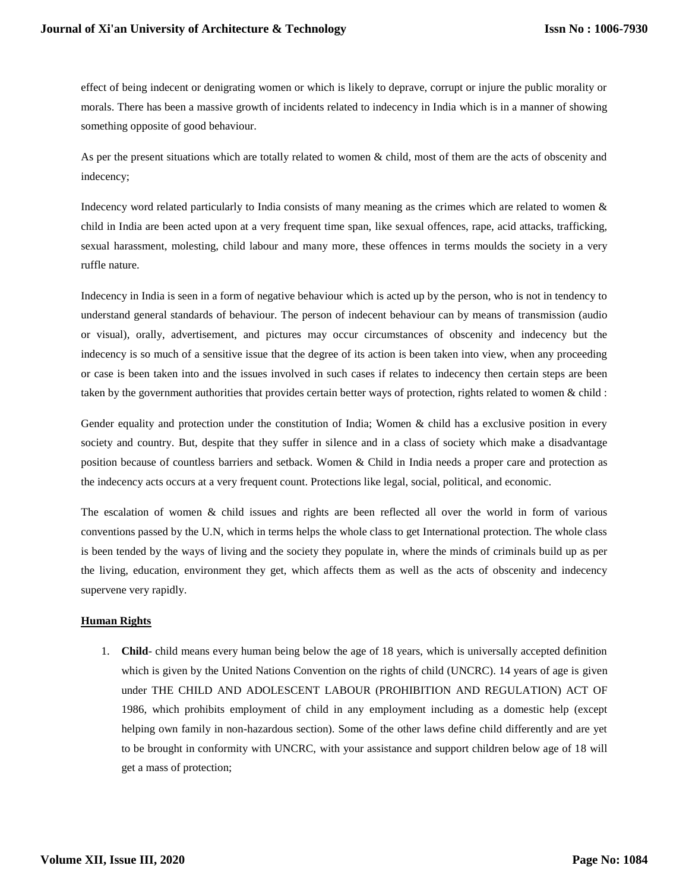effect of being indecent or denigrating women or which is likely to deprave, corrupt or injure the public morality or morals. There has been a massive growth of incidents related to indecency in India which is in a manner of showing something opposite of good behaviour.

As per the present situations which are totally related to women & child, most of them are the acts of obscenity and indecency;

Indecency word related particularly to India consists of many meaning as the crimes which are related to women  $\&$ child in India are been acted upon at a very frequent time span, like sexual offences, rape, acid attacks, trafficking, sexual harassment, molesting, child labour and many more, these offences in terms moulds the society in a very ruffle nature.

Indecency in India is seen in a form of negative behaviour which is acted up by the person, who is not in tendency to understand general standards of behaviour. The person of indecent behaviour can by means of transmission (audio or visual), orally, advertisement, and pictures may occur circumstances of obscenity and indecency but the indecency is so much of a sensitive issue that the degree of its action is been taken into view, when any proceeding or case is been taken into and the issues involved in such cases if relates to indecency then certain steps are been taken by the government authorities that provides certain better ways of protection, rights related to women & child :

Gender equality and protection under the constitution of India; Women & child has a exclusive position in every society and country. But, despite that they suffer in silence and in a class of society which make a disadvantage position because of countless barriers and setback. Women & Child in India needs a proper care and protection as the indecency acts occurs at a very frequent count. Protections like legal, social, political, and economic.

The escalation of women & child issues and rights are been reflected all over the world in form of various conventions passed by the U.N, which in terms helps the whole class to get International protection. The whole class is been tended by the ways of living and the society they populate in, where the minds of criminals build up as per the living, education, environment they get, which affects them as well as the acts of obscenity and indecency supervene very rapidly.

#### **Human Rights**

1. **Child**- child means every human being below the age of 18 years, which is universally accepted definition which is given by the United Nations Convention on the rights of child (UNCRC). 14 years of age is given under THE CHILD AND ADOLESCENT LABOUR (PROHIBITION AND REGULATION) ACT OF 1986, which prohibits employment of child in any employment including as a domestic help (except helping own family in non-hazardous section). Some of the other laws define child differently and are yet to be brought in conformity with UNCRC, with your assistance and support children below age of 18 will get a mass of protection;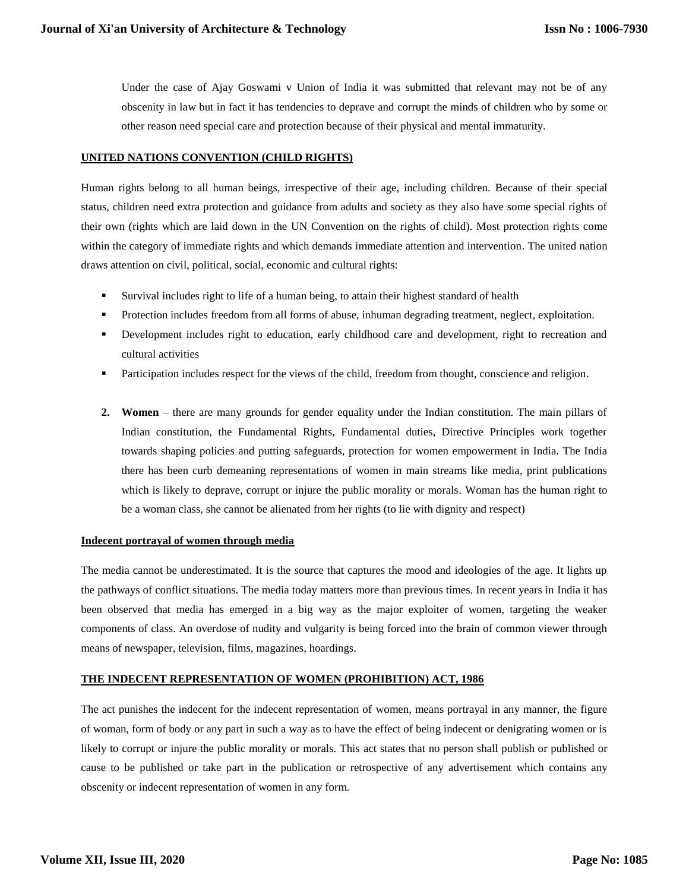Under the case of Ajay Goswami v Union of India it was submitted that relevant may not be of any obscenity in law but in fact it has tendencies to deprave and corrupt the minds of children who by some or other reason need special care and protection because of their physical and mental immaturity.

### **UNITED NATIONS CONVENTION (CHILD RIGHTS)**

Human rights belong to all human beings, irrespective of their age, including children. Because of their special status, children need extra protection and guidance from adults and society as they also have some special rights of their own (rights which are laid down in the UN Convention on the rights of child). Most protection rights come within the category of immediate rights and which demands immediate attention and intervention. The united nation draws attention on civil, political, social, economic and cultural rights:

- Survival includes right to life of a human being, to attain their highest standard of health
- Protection includes freedom from all forms of abuse, inhuman degrading treatment, neglect, exploitation.
- Development includes right to education, early childhood care and development, right to recreation and cultural activities
- Participation includes respect for the views of the child, freedom from thought, conscience and religion.
- **2. Women** there are many grounds for gender equality under the Indian constitution. The main pillars of Indian constitution, the Fundamental Rights, Fundamental duties, Directive Principles work together towards shaping policies and putting safeguards, protection for women empowerment in India. The India there has been curb demeaning representations of women in main streams like media, print publications which is likely to deprave, corrupt or injure the public morality or morals. Woman has the human right to be a woman class, she cannot be alienated from her rights (to lie with dignity and respect)

### **Indecent portrayal of women through media**

The media cannot be underestimated. It is the source that captures the mood and ideologies of the age. It lights up the pathways of conflict situations. The media today matters more than previous times. In recent years in India it has been observed that media has emerged in a big way as the major exploiter of women, targeting the weaker components of class. An overdose of nudity and vulgarity is being forced into the brain of common viewer through means of newspaper, television, films, magazines, hoardings.

### **THE INDECENT REPRESENTATION OF WOMEN (PROHIBITION) ACT, 1986**

The act punishes the indecent for the indecent representation of women, means portrayal in any manner, the figure of woman, form of body or any part in such a way as to have the effect of being indecent or denigrating women or is likely to corrupt or injure the public morality or morals. This act states that no person shall publish or published or cause to be published or take part in the publication or retrospective of any advertisement which contains any obscenity or indecent representation of women in any form.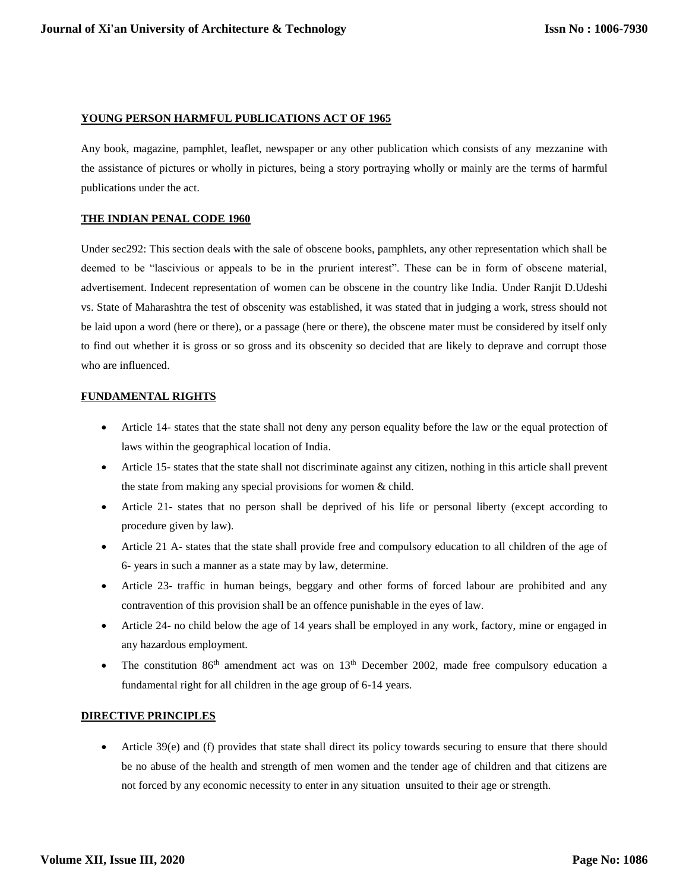#### **YOUNG PERSON HARMFUL PUBLICATIONS ACT OF 1965**

Any book, magazine, pamphlet, leaflet, newspaper or any other publication which consists of any mezzanine with the assistance of pictures or wholly in pictures, being a story portraying wholly or mainly are the terms of harmful publications under the act.

#### **THE INDIAN PENAL CODE 1960**

Under sec292: This section deals with the sale of obscene books, pamphlets, any other representation which shall be deemed to be "lascivious or appeals to be in the prurient interest". These can be in form of obscene material, advertisement. Indecent representation of women can be obscene in the country like India. Under Ranjit D.Udeshi vs. State of Maharashtra the test of obscenity was established, it was stated that in judging a work, stress should not be laid upon a word (here or there), or a passage (here or there), the obscene mater must be considered by itself only to find out whether it is gross or so gross and its obscenity so decided that are likely to deprave and corrupt those who are influenced.

### **FUNDAMENTAL RIGHTS**

- Article 14- states that the state shall not deny any person equality before the law or the equal protection of laws within the geographical location of India.
- Article 15- states that the state shall not discriminate against any citizen, nothing in this article shall prevent the state from making any special provisions for women & child.
- Article 21- states that no person shall be deprived of his life or personal liberty (except according to procedure given by law).
- Article 21 A- states that the state shall provide free and compulsory education to all children of the age of 6- years in such a manner as a state may by law, determine.
- Article 23- traffic in human beings, beggary and other forms of forced labour are prohibited and any contravention of this provision shall be an offence punishable in the eyes of law.
- Article 24- no child below the age of 14 years shall be employed in any work, factory, mine or engaged in any hazardous employment.
- The constitution  $86<sup>th</sup>$  amendment act was on  $13<sup>th</sup>$  December 2002, made free compulsory education a fundamental right for all children in the age group of 6-14 years.

### **DIRECTIVE PRINCIPLES**

 Article 39(e) and (f) provides that state shall direct its policy towards securing to ensure that there should be no abuse of the health and strength of men women and the tender age of children and that citizens are not forced by any economic necessity to enter in any situation unsuited to their age or strength.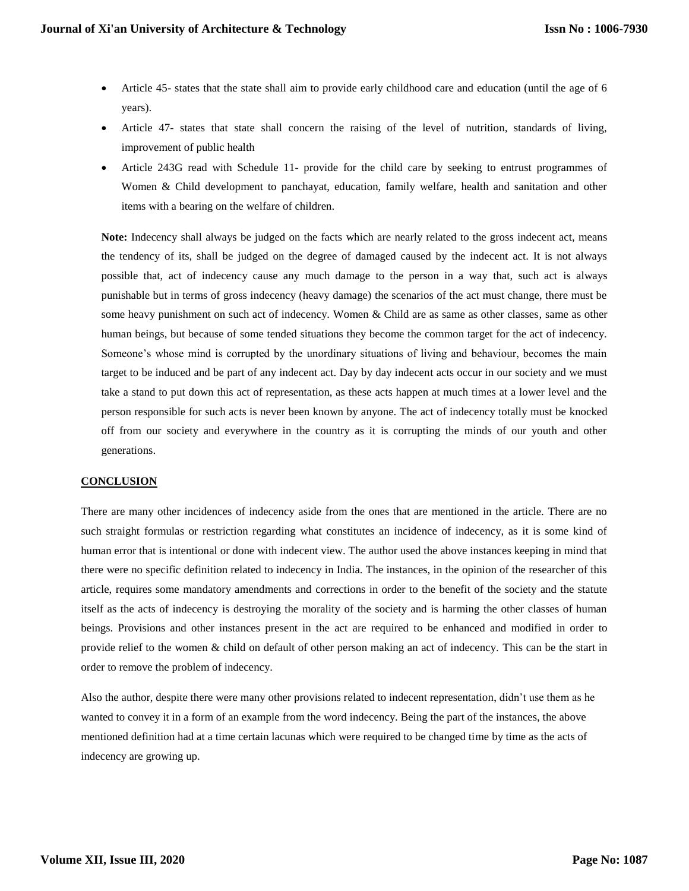- Article 45- states that the state shall aim to provide early childhood care and education (until the age of 6 years).
- Article 47- states that state shall concern the raising of the level of nutrition, standards of living, improvement of public health
- Article 243G read with Schedule 11- provide for the child care by seeking to entrust programmes of Women & Child development to panchayat, education, family welfare, health and sanitation and other items with a bearing on the welfare of children.

**Note:** Indecency shall always be judged on the facts which are nearly related to the gross indecent act, means the tendency of its, shall be judged on the degree of damaged caused by the indecent act. It is not always possible that, act of indecency cause any much damage to the person in a way that, such act is always punishable but in terms of gross indecency (heavy damage) the scenarios of the act must change, there must be some heavy punishment on such act of indecency. Women & Child are as same as other classes, same as other human beings, but because of some tended situations they become the common target for the act of indecency. Someone's whose mind is corrupted by the unordinary situations of living and behaviour, becomes the main target to be induced and be part of any indecent act. Day by day indecent acts occur in our society and we must take a stand to put down this act of representation, as these acts happen at much times at a lower level and the person responsible for such acts is never been known by anyone. The act of indecency totally must be knocked off from our society and everywhere in the country as it is corrupting the minds of our youth and other generations.

#### **CONCLUSION**

There are many other incidences of indecency aside from the ones that are mentioned in the article. There are no such straight formulas or restriction regarding what constitutes an incidence of indecency, as it is some kind of human error that is intentional or done with indecent view. The author used the above instances keeping in mind that there were no specific definition related to indecency in India. The instances, in the opinion of the researcher of this article, requires some mandatory amendments and corrections in order to the benefit of the society and the statute itself as the acts of indecency is destroying the morality of the society and is harming the other classes of human beings. Provisions and other instances present in the act are required to be enhanced and modified in order to provide relief to the women & child on default of other person making an act of indecency. This can be the start in order to remove the problem of indecency.

Also the author, despite there were many other provisions related to indecent representation, didn't use them as he wanted to convey it in a form of an example from the word indecency. Being the part of the instances, the above mentioned definition had at a time certain lacunas which were required to be changed time by time as the acts of indecency are growing up.